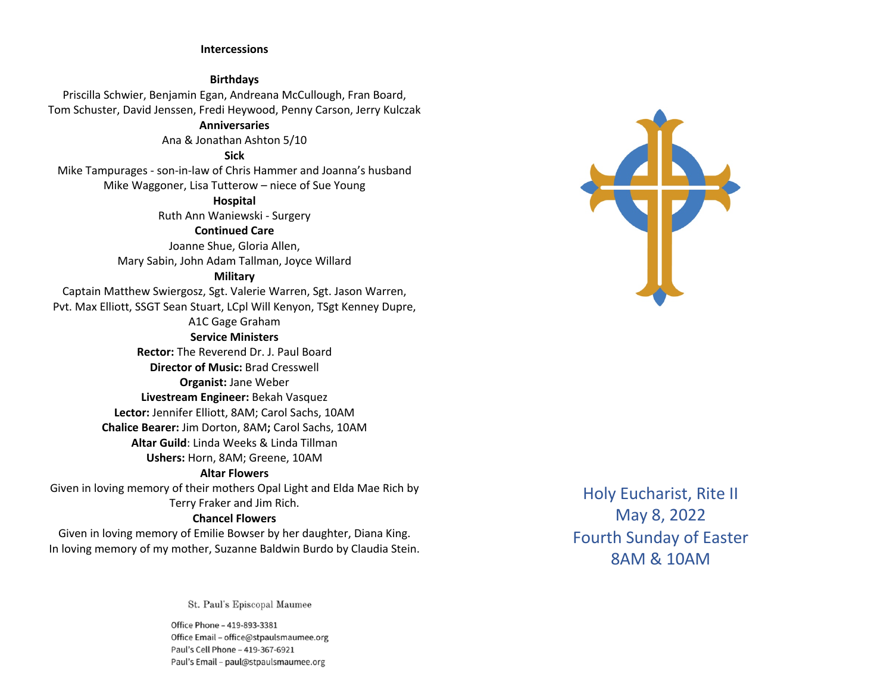#### **Intercessions**

#### **Birthdays**

Priscilla Schwier, Benjamin Egan, Andreana McCullough, Fran Board, Tom Schuster, David Jenssen, Fredi Heywood, Penny Carson, Jerry Kulczak

#### **Anniversaries**

Ana & Jonathan Ashton 5/10

## **Sick**

Mike Tampurages - son-in-law of Chris Hammer and Joanna's husband Mike Waggoner, Lisa Tutterow – niece of Sue Young

# **Hospital**

Ruth Ann Waniewski - Surgery

#### **Continued Care**

Joanne Shue, Gloria Allen, Mary Sabin, John Adam Tallman, Joyce Willard

#### **Military**

Captain Matthew Swiergosz, Sgt. Valerie Warren, Sgt. Jason Warren, Pvt. Max Elliott, SSGT Sean Stuart, LCpl Will Kenyon, TSgt Kenney Dupre, A1C Gage Graham

#### **Service Ministers**

**Rector:** The Reverend Dr. J. Paul Board **Director of Music:** Brad Cresswell **Organist:** Jane Weber **Livestream Engineer:** Bekah Vasquez **Lector:** Jennifer Elliott, 8AM; Carol Sachs, 10AM **Chalice Bearer:** Jim Dorton, 8AM**;** Carol Sachs, 10AM **Altar Guild**: Linda Weeks & Linda Tillman

**Ushers:** Horn, 8AM; Greene, 10AM

#### **Altar Flowers**

Given in loving memory of their mothers Opal Light and Elda Mae Rich by Terry Fraker and Jim Rich.

## **Chancel Flowers**

Given in loving memory of Emilie Bowser by her daughter, Diana King. In loving memory of my mother, Suzanne Baldwin Burdo by Claudia Stein.

St. Paul's Episcopal Maumee

Office Phone - 419-893-3381 Office Email - office@stpaulsmaumee.org Paul's Cell Phone - 419-367-6921 Paul's Email - paul@stpaulsmaumee.org



Holy Eucharist, Rite II May 8, 2022 Fourth Sunday of Easter 8AM & 10AM